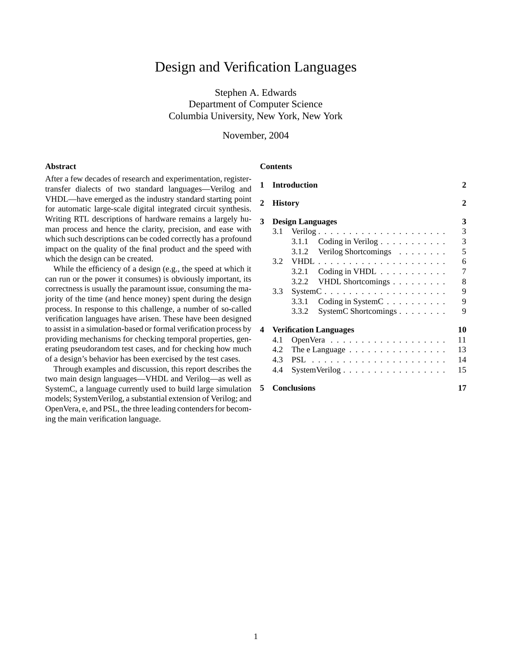# Design and Verification Languages

Stephen A. Edwards Department of Computer Science Columbia University, New York, New York

November, 2004

## **Abstract**

After a few decades of research and experimentation, registertransfer dialects of two standard languages—Verilog and VHDL—have emerged as the industry standard starting point for automatic large-scale digital integrated circuit synthesis. Writing RTL descriptions of hardware remains a largely human process and hence the clarity, precision, and ease with which such descriptions can be coded correctly has a profound impact on the quality of the final product and the speed with which the design can be created.

While the efficiency of a design (e.g., the speed at which it can run or the power it consumes) is obviously important, its correctness is usually the paramount issue, consuming the majority of the time (and hence money) spent during the design process. In response to this challenge, a number of so-called verification languages have arisen. These have been designed to assist in a simulation-based or formal verification process by providing mechanisms for checking temporal properties, generating pseudorandom test cases, and for checking how much of a design's behavior has been exercised by the test cases.

Through examples and discussion, this report describes the two main design languages—VHDL and Verilog—as well as SystemC, a language currently used to build large simulation models; SystemVerilog, a substantial extension of Verilog; and OpenVera, e, and PSL, the three leading contenders for becoming the main verification language.

#### **Contents**

| 1 |                               | <b>Introduction</b>                                 | $\overline{2}$ |  |
|---|-------------------------------|-----------------------------------------------------|----------------|--|
| 2 | <b>History</b>                |                                                     | $\overline{2}$ |  |
| 3 |                               | <b>Design Languages</b>                             | 3              |  |
|   | 3.1                           | Verilog                                             | 3              |  |
|   |                               | Coding in Verilog<br>3.1.1                          | 3              |  |
|   |                               | Verilog Shortcomings<br>3.1.2                       | 5              |  |
|   | 3.2                           |                                                     | 6              |  |
|   |                               | Coding in VHDL<br>3.2.1                             | 7              |  |
|   |                               | VHDL Shortcomings<br>3.2.2                          | 8              |  |
|   | 3.3                           | $SystemC \ldots \ldots \ldots \ldots \ldots \ldots$ | 9              |  |
|   |                               | Coding in SystemC<br>3.3.1                          | 9              |  |
|   |                               | SystemC Shortcomings<br>3.3.2                       | 9              |  |
| 4 | <b>Verification Languages</b> |                                                     |                |  |
|   | 4.1                           |                                                     | 11             |  |
|   | 4.2                           | The e Language                                      | 13             |  |
|   | 4.3                           |                                                     | 14             |  |
|   | 4.4                           | SystemVerilog                                       | 15             |  |
| 5 |                               | <b>Conclusions</b>                                  | 17             |  |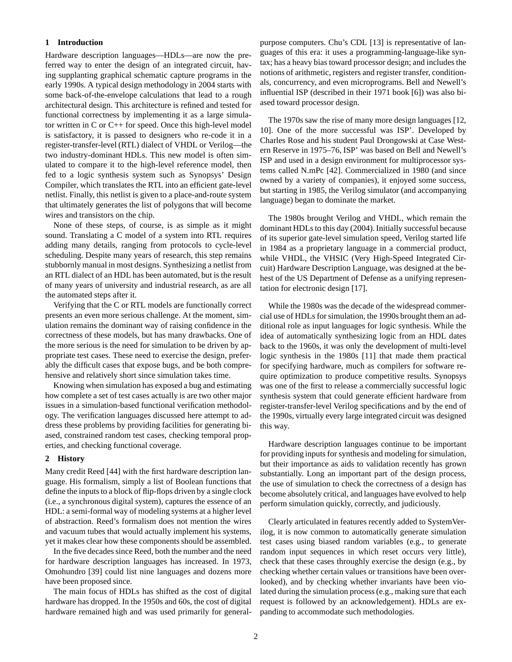#### **1 Introduction**

Hardware description languages—HDLs—are now the preferred way to enter the design of an integrated circuit, having supplanting graphical schematic capture programs in the early 1990s. A typical design methodology in 2004 starts with some back-of-the-envelope calculations that lead to a rough architectural design. This architecture is refined and tested for functional correctness by implementing it as a large simulator written in C or C++ for speed. Once this high-level model is satisfactory, it is passed to designers who re-code it in a register-transfer-level (RTL) dialect of VHDL or Verilog—the two industry-dominant HDLs. This new model is often simulated to compare it to the high-level reference model, then fed to a logic synthesis system such as Synopsys' Design Compiler, which translates the RTL into an efficient gate-level netlist. Finally, this netlist is given to a place-and-route system that ultimately generates the list of polygons that will become wires and transistors on the chip.

None of these steps, of course, is as simple as it might sound. Translating a C model of a system into RTL requires adding many details, ranging from protocols to cycle-level scheduling. Despite many years of research, this step remains stubbornly manual in most designs. Synthesizing a netlist from an RTL dialect of an HDL has been automated, but is the result of many years of university and industrial research, as are all the automated steps after it.

Verifying that the C or RTL models are functionally correct presents an even more serious challenge. At the moment, simulation remains the dominant way of raising confidence in the correctness of these models, but has many drawbacks. One of the more serious is the need for simulation to be driven by appropriate test cases. These need to exercise the design, preferably the difficult cases that expose bugs, and be both comprehensive and relatively short since simulation takes time.

Knowing when simulation has exposed a bug and estimating how complete a set of test cases actually is are two other major issues in a simulation-based functional verification methodology. The verification languages discussed here attempt to address these problems by providing facilities for generating biased, constrained random test cases, checking temporal properties, and checking functional coverage.

#### **2 History**

Many credit Reed [44] with the first hardware description language. His formalism, simply a list of Boolean functions that define the inputs to a block of flip-flops driven by a single clock (i.e., a synchronous digital system), captures the essence of an HDL: a semi-formal way of modeling systems at a higher level of abstraction. Reed's formalism does not mention the wires and vacuum tubes that would actually implement his systems, yet it makes clear how these components should be assembled.

In the five decades since Reed, both the number and the need for hardware description languages has increased. In 1973, Omohundro [39] could list nine languages and dozens more have been proposed since.

The main focus of HDLs has shifted as the cost of digital hardware has dropped. In the 1950s and 60s, the cost of digital hardware remained high and was used primarily for generalpurpose computers. Chu's CDL [13] is representative of languages of this era: it uses a programming-language-like syntax; has a heavy bias toward processor design; and includes the notions of arithmetic, registers and register transfer, conditionals, concurrency, and even microprograms. Bell and Newell's influential ISP (described in their 1971 book [6]) was also biased toward processor design.

The 1970s saw the rise of many more design languages [12, 10]. One of the more successful was ISP'. Developed by Charles Rose and his student Paul Drongowski at Case Western Reserve in 1975–76, ISP' was based on Bell and Newell's ISP and used in a design environment for multiprocessor systems called N.mPc [42]. Commercialized in 1980 (and since owned by a variety of companies), it enjoyed some success, but starting in 1985, the Verilog simulator (and accompanying language) began to dominate the market.

The 1980s brought Verilog and VHDL, which remain the dominant HDLs to this day (2004). Initially successful because of its superior gate-level simulation speed, Verilog started life in 1984 as a proprietary language in a commercial product, while VHDL, the VHSIC (Very High-Speed Integrated Circuit) Hardware Description Language, was designed at the behest of the US Department of Defense as a unifying representation for electronic design [17].

While the 1980s was the decade of the widespread commercial use of HDLs forsimulation, the 1990s brought them an additional role as input languages for logic synthesis. While the idea of automatically synthesizing logic from an HDL dates back to the 1960s, it was only the development of multi-level logic synthesis in the 1980s [11] that made them practical for specifying hardware, much as compilers for software require optimization to produce competitive results. Synopsys was one of the first to release a commercially successful logic synthesis system that could generate efficient hardware from register-transfer-level Verilog specifications and by the end of the 1990s, virtually every large integrated circuit was designed this way.

Hardware description languages continue to be important for providing inputs for synthesis and modeling for simulation, but their importance as aids to validation recently has grown substantially. Long an important part of the design process, the use of simulation to check the correctness of a design has become absolutely critical, and languages have evolved to help perform simulation quickly, correctly, and judiciously.

Clearly articulated in features recently added to SystemVerilog, it is now common to automatically generate simulation test cases using biased random variables (e.g., to generate random input sequences in which reset occurs very little), check that these cases throughly exercise the design (e.g., by checking whether certain values or transitions have been overlooked), and by checking whether invariants have been violated during the simulation process(e.g., making sure that each request is followed by an acknowledgement). HDLs are expanding to accommodate such methodologies.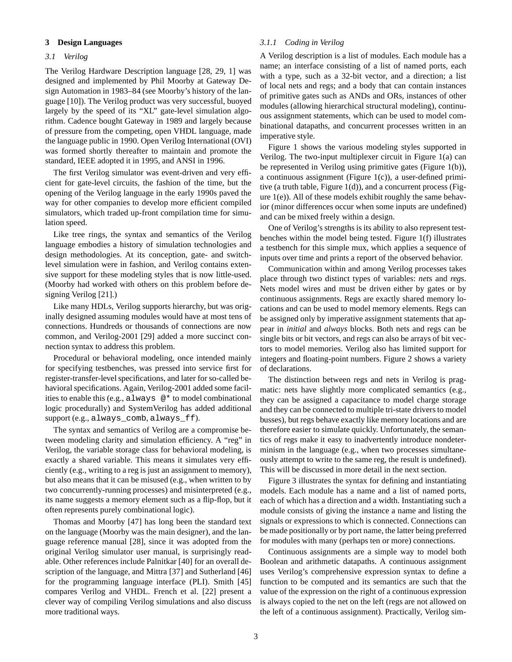#### **3 Design Languages**

#### *3.1 Verilog*

The Verilog Hardware Description language [28, 29, 1] was designed and implemented by Phil Moorby at Gateway Design Automation in 1983–84 (see Moorby's history of the language [10]). The Verilog product was very successful, buoyed largely by the speed of its "XL" gate-level simulation algorithm. Cadence bought Gateway in 1989 and largely because of pressure from the competing, open VHDL language, made the language public in 1990. Open Verilog International (OVI) was formed shortly thereafter to maintain and promote the standard, IEEE adopted it in 1995, and ANSI in 1996.

The first Verilog simulator was event-driven and very efficient for gate-level circuits, the fashion of the time, but the opening of the Verilog language in the early 1990s paved the way for other companies to develop more efficient compiled simulators, which traded up-front compilation time for simulation speed.

Like tree rings, the syntax and semantics of the Verilog language embodies a history of simulation technologies and design methodologies. At its conception, gate- and switchlevel simulation were in fashion, and Verilog contains extensive support for these modeling styles that is now little-used. (Moorby had worked with others on this problem before designing Verilog [21].)

Like many HDLs, Verilog supports hierarchy, but was originally designed assuming modules would have at most tens of connections. Hundreds or thousands of connections are now common, and Verilog-2001 [29] added a more succinct connection syntax to address this problem.

Procedural or behavioral modeling, once intended mainly for specifying testbenches, was pressed into service first for register-transfer-level specifications, and later for so-called behavioral specifications. Again, Verilog-2001 added some facilities to enable this (e.g., always @\* to model combinational logic procedurally) and SystemVerilog has added additional support (e.g., always\_comb, always\_ff).

The syntax and semantics of Verilog are a compromise between modeling clarity and simulation efficiency. A "reg" in Verilog, the variable storage class for behavioral modeling, is exactly a shared variable. This means it simulates very efficiently (e.g., writing to a reg is just an assignment to memory), but also means that it can be misused (e.g., when written to by two concurrently-running processes) and misinterpreted (e.g., its name suggests a memory element such as a flip-flop, but it often represents purely combinational logic).

Thomas and Moorby [47] has long been the standard text on the language (Moorby was the main designer), and the language reference manual [28], since it was adopted from the original Verilog simulator user manual, is surprisingly readable. Other references include Palnitkar [40] for an overall description of the language, and Mittra [37] and Sutherland [46] for the programming language interface (PLI). Smith [45] compares Verilog and VHDL. French et al. [22] present a clever way of compiling Verilog simulations and also discuss more traditional ways.

#### *3.1.1 Coding in Verilog*

A Verilog description is a list of modules. Each module has a name; an interface consisting of a list of named ports, each with a type, such as a 32-bit vector, and a direction; a list of local nets and regs; and a body that can contain instances of primitive gates such as ANDs and ORs, instances of other modules (allowing hierarchical structural modeling), continuous assignment statements, which can be used to model combinational datapaths, and concurrent processes written in an imperative style.

Figure 1 shows the various modeling styles supported in Verilog. The two-input multiplexer circuit in Figure 1(a) can be represented in Verilog using primitive gates (Figure 1(b)), a continuous assignment (Figure 1(c)), a user-defined primitive (a truth table, Figure 1(d)), and a concurrent process (Figure 1(e)). All of these models exhibit roughly the same behavior (minor differences occur when some inputs are undefined) and can be mixed freely within a design.

One of Verilog's strengths is its ability to also represent testbenches within the model being tested. Figure 1(f) illustrates a testbench for this simple mux, which applies a sequence of inputs over time and prints a report of the observed behavior.

Communication within and among Verilog processes takes place through two distinct types of variables: *net*s and *reg*s. Nets model wires and must be driven either by gates or by continuous assignments. Regs are exactly shared memory locations and can be used to model memory elements. Regs can be assigned only by imperative assignment statements that appear in *initial* and *always* blocks. Both nets and regs can be single bits or bit vectors, and regs can also be arrays of bit vectors to model memories. Verilog also has limited support for integers and floating-point numbers. Figure 2 shows a variety of declarations.

The distinction between regs and nets in Verilog is pragmatic: nets have slightly more complicated semantics (e.g., they can be assigned a capacitance to model charge storage and they can be connected to multiple tri-state drivers to model busses), but regs behave exactly like memory locations and are therefore easier to simulate quickly. Unfortunately, the semantics of regs make it easy to inadvertently introduce nondeterminism in the language (e.g., when two processes simultaneously attempt to write to the same reg, the result is undefined). This will be discussed in more detail in the next section.

Figure 3 illustrates the syntax for defining and instantiating models. Each module has a name and a list of named ports, each of which has a direction and a width. Instantiating such a module consists of giving the instance a name and listing the signals or expressions to which is connected. Connections can be made positionally or by port name, the latter being preferred for modules with many (perhaps ten or more) connections.

Continuous assignments are a simple way to model both Boolean and arithmetic datapaths. A continuous assignment uses Verilog's comprehensive expression syntax to define a function to be computed and its semantics are such that the value of the expression on the right of a continuous expression is always copied to the net on the left (regs are not allowed on the left of a continuous assignment). Practically, Verilog sim-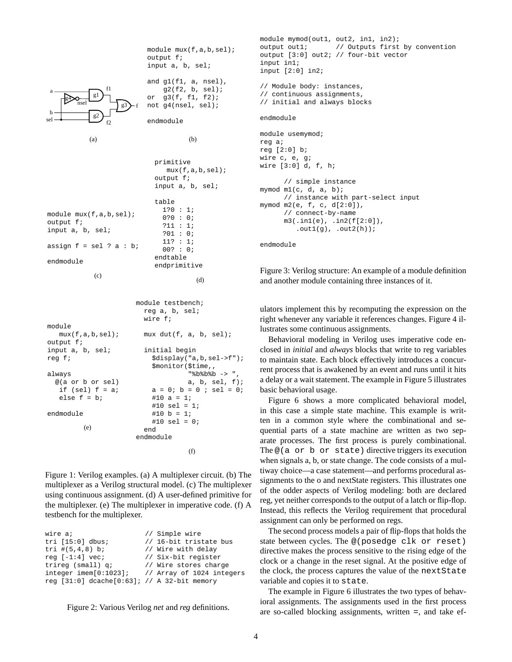```
g \rightarrow  g<sup>1</sup>g2
                      g3
 a
 b
sel
                          f
         nsel
                 f1
                 f2(a)
                             output f;
                             input a, b, sel;
                             and g1(f1, a, nsel),
                                  g2(f2, b, sel);
                             or g3(f, f1, f2);
                             not g4(nsel, sel);
                             endmodule
                                         (b)
module mux(f,a,b,sel);
output f;
input a, b, sel;
                               primitive
                                  mux(f,a,b,sel);output f;
                               input a, b, sel;
                               table
                                  1?0 : 1;
                                  0.20 : 0;?11 : 1;
                                  ?01 : 0;
```
module mux(f,a,b,sel);

11? : 1; 00? : 0; endtable endprimitive

(d)

assign  $f = sel$  ?  $a : bi$ endmodule

(c)

```
module
   mux(f,a,b,sel);
output f;
input a, b, sel;
reg f;
always
  @(a or b or sel)
   if (sel) f = aielse f = biendmodule
         (e)
                       module testbench;
                         reg a, b, sel;
                         wire f;
                         mux dut(f, a, b, sel);
                         initial begin
                            $display("a,b,sel->f");
                            $monitor($time,,
                                     "%b%b%b -> ",
                                     a, b, sel, f);
                            a = 0; b = 0; s = 1 = 0;#10 a = 1;
                            #10 sel = 1;
                            \text{H10 h} = 1;
                            #10 sel = 0;
                         end
                       endmodule
                                     (f)
```
Figure 1: Verilog examples. (a) A multiplexer circuit. (b) The multiplexer as a Verilog structural model. (c) The multiplexer using continuous assignment. (d) A user-defined primitive for the multiplexer. (e) The multiplexer in imperative code. (f) A testbench for the multiplexer.

|  | // Simple wire<br>// 16-bit tristate bus<br>// Wire with delay<br>// Six-bit register<br>// Wire stores charge<br>integer imem $[0:1023]$ ; // Array of 1024 integers<br>reg [31:0] $dcache[0:63]$ ; // A 32-bit memory |
|--|-------------------------------------------------------------------------------------------------------------------------------------------------------------------------------------------------------------------------|

Figure 2: Various Verilog *net* and *reg* definitions.

```
module mymod(out1, out2, in1, in2);
output outl; \frac{1}{2} // Outputs first by convention
output [3:0] out2; // four-bit vector
input in1;
input [2:0] in2;
// Module body: instances,
// continuous assignments,
// initial and always blocks
endmodule
module usemymod;
reg a;
reg [2:0] b;
wire c, e, g;
wire [3:0] d, f, h;
      // simple instance
mymod m1(c, d, a, b);
     // instance with part-select input
mymod m2(e, f, c, d[2:0]),
      // connect-by-name
      m3(.in1(e), .in2(f[2:0]),
         .out1(g), .out2(h);
```
endmodule

Figure 3: Verilog structure: An example of a module definition and another module containing three instances of it.

ulators implement this by recomputing the expression on the right whenever any variable it references changes. Figure 4 illustrates some continuous assignments.

Behavioral modeling in Verilog uses imperative code enclosed in *initial* and *always* blocks that write to reg variables to maintain state. Each block effectively introduces a concurrent process that is awakened by an event and runs until it hits a delay or a wait statement. The example in Figure 5 illustrates basic behavioral usage.

Figure 6 shows a more complicated behavioral model, in this case a simple state machine. This example is written in a common style where the combinational and sequential parts of a state machine are written as two separate processes. The first process is purely combinational. The  $@(a$  or  $b$  or state) directive triggers its execution when signals a, b, or state change. The code consists of a multiway choice—a case statement—and performs procedural assignments to the o and nextState registers. This illustrates one of the odder aspects of Verilog modeling: both are declared reg, yet neither corresponds to the output of a latch or flip-flop. Instead, this reflects the Verilog requirement that procedural assignment can only be performed on regs.

The second process models a pair of flip-flops that holds the state between cycles. The @(posedge clk or reset) directive makes the process sensitive to the rising edge of the clock or a change in the reset signal. At the positive edge of the clock, the process captures the value of the nextState variable and copies it to state.

The example in Figure 6 illustrates the two types of behavioral assignments. The assignments used in the first process are so-called blocking assignments, written =, and take ef-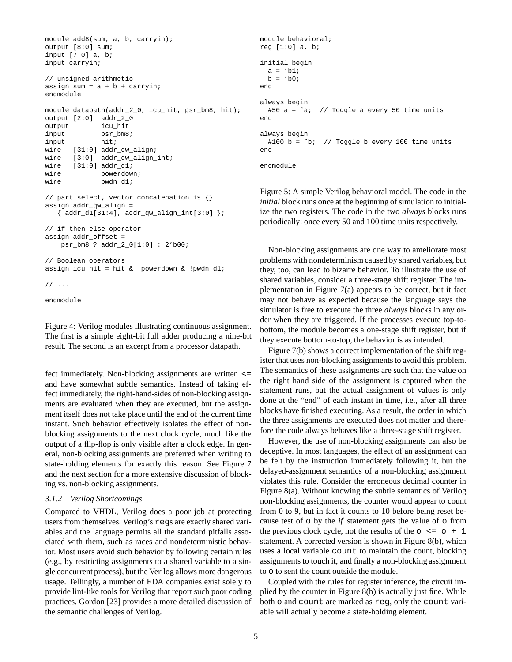```
module add8(sum, a, b, carryin);
output [8:0] sum;
input [7:0] a, b;
input carryin;
// unsigned arithmetic
assign sum = a + b + carryin;
endmodule
module datapath(addr_2_0, icu_hit, psr_bm8, hit);
output [2:0] addr_2_0
output icu_hit
input psr_bm8;
input hit;
wire [31:0] addr_qw_align;
wire [3:0] addr_qw_align_int;
wire [31:0] addr_d1;
wire powerdown;
wire pwdn_d1;
// part select, vector concatenation is {}
assign addr_qw_align =
  \{ addr_d1[31:4], addr_qw_d1ign-int[3:0] \};// if-then-else operator
assign addr offset =psr_bm8 ? addr_2_0[1:0] : 2'b00;
// Boolean operators
assign icu_hit = hit & !powerdown & !pwdn_dl;
// ...
```
endmodule

Figure 4: Verilog modules illustrating continuous assignment. The first is a simple eight-bit full adder producing a nine-bit result. The second is an excerpt from a processor datapath.

fect immediately. Non-blocking assignments are written <= and have somewhat subtle semantics. Instead of taking effect immediately, the right-hand-sides of non-blocking assignments are evaluated when they are executed, but the assignment itself does not take place until the end of the current time instant. Such behavior effectively isolates the effect of nonblocking assignments to the next clock cycle, much like the output of a flip-flop is only visible after a clock edge. In general, non-blocking assignments are preferred when writing to state-holding elements for exactly this reason. See Figure 7 and the next section for a more extensive discussion of blocking vs. non-blocking assignments.

## *3.1.2 Verilog Shortcomings*

Compared to VHDL, Verilog does a poor job at protecting users from themselves. Verilog's regs are exactly shared variables and the language permits all the standard pitfalls associated with them, such as races and nondeterministic behavior. Most users avoid such behavior by following certain rules (e.g., by restricting assignments to a shared variable to a single concurrent process), but the Verilog allows more dangerous usage. Tellingly, a number of EDA companies exist solely to provide lint-like tools for Verilog that report such poor coding practices. Gordon [23] provides a more detailed discussion of the semantic challenges of Verilog.

module behavioral; reg [1:0] a, b; initial begin  $a = 'b1;$  $b = 'b0;$ end always begin #50 a =  $\tilde{a}$ ; // Toggle a every 50 time units end always begin #100 b = ˜b; // Toggle b every 100 time units end endmodule

Figure 5: A simple Verilog behavioral model. The code in the *initial* block runs once at the beginning of simulation to initialize the two registers. The code in the two *always* blocks runs periodically: once every 50 and 100 time units respectively.

Non-blocking assignments are one way to ameliorate most problems with nondeterminism caused by shared variables, but they, too, can lead to bizarre behavior. To illustrate the use of shared variables, consider a three-stage shift register. The implementation in Figure  $7(a)$  appears to be correct, but it fact may not behave as expected because the language says the simulator is free to execute the three *always* blocks in any order when they are triggered. If the processes execute top-tobottom, the module becomes a one-stage shift register, but if they execute bottom-to-top, the behavior is as intended.

Figure 7(b) shows a correct implementation of the shift register that uses non-blocking assignments to avoid this problem. The semantics of these assignments are such that the value on the right hand side of the assignment is captured when the statement runs, but the actual assignment of values is only done at the "end" of each instant in time, i.e., after all three blocks have finished executing. As a result, the order in which the three assignments are executed does not matter and therefore the code always behaves like a three-stage shift register.

However, the use of non-blocking assignments can also be deceptive. In most languages, the effect of an assignment can be felt by the instruction immediately following it, but the delayed-assignment semantics of a non-blocking assignment violates this rule. Consider the erroneous decimal counter in Figure 8(a). Without knowing the subtle semantics of Verilog non-blocking assignments, the counter would appear to count from 0 to 9, but in fact it counts to 10 before being reset because test of o by the *if* statement gets the value of o from the previous clock cycle, not the results of the  $\circ$   $\leq \circ$  + 1 statement. A corrected version is shown in Figure 8(b), which uses a local variable count to maintain the count, blocking assignments to touch it, and finally a non-blocking assignment to o to sent the count outside the module.

Coupled with the rules for register inference, the circuit implied by the counter in Figure 8(b) is actually just fine. While both o and count are marked as reg, only the count variable will actually become a state-holding element.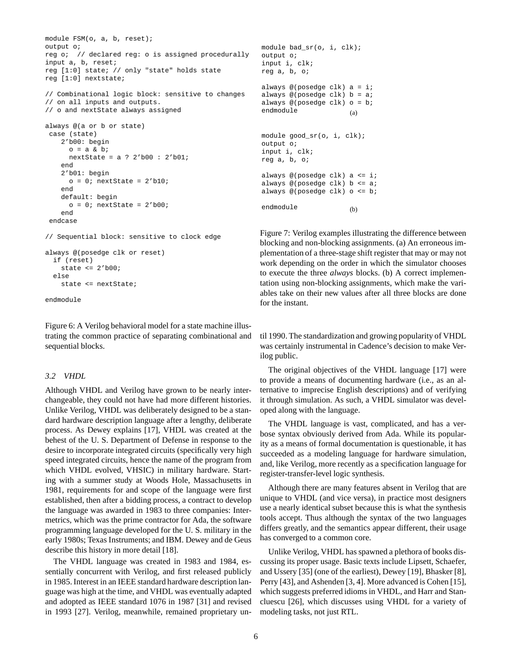```
module FSM(o, a, b, reset);
output o;
reg o; // declared reg: o is assigned procedurally
input a, b, reset;
reg [1:0] state; // only "state" holds state
reg [1:0] nextstate;
// Combinational logic block: sensitive to changes
// on all inputs and outputs.
// o and nextState always assigned
always @(a or b or state)
case (state)
   2'b00: begin
     o = a \& b;
     nextState = a ? 2'b00 : 2'b01;
   end
    2'b01: begin
     o = 0; nextState = 2'b10;
    end
   default: begin
     o = 0; nextState = 2'b00;
    end
 endcase
// Sequential block: sensitive to clock edge
                                                      module bad_sr(o, i, clk);
                                                      output o;
                                                      input i, clk;
                                                      reg a, b, o;
                                                      always @(posedge clk) a = i;
                                                      always @(posedge clk) b = a;
                                                      always @(posedge clk) o = b;
                                                      endmodule (a)
                                                      module good_sr(o, i, clk);
                                                      output o;
                                                      input i, clk;
                                                      reg a, b, o;
                                                      always @(posedge clk) a <= i;
                                                      always @(posedge clk) b <= a;
                                                      always @(posedge clk) o <= b;
                                                      endmodule (b)
```

```
always @(posedge clk or reset)
  if (reset)
    state \leq 2'b00;
  else
    state <= nextState;
```
endmodule

Figure 6: A Verilog behavioral model for a state machine illustrating the common practice of separating combinational and sequential blocks.

#### *3.2 VHDL*

Although VHDL and Verilog have grown to be nearly interchangeable, they could not have had more different histories. Unlike Verilog, VHDL was deliberately designed to be a standard hardware description language after a lengthy, deliberate process. As Dewey explains [17], VHDL was created at the behest of the U. S. Department of Defense in response to the desire to incorporate integrated circuits (specifically very high speed integrated circuits, hence the name of the program from which VHDL evolved, VHSIC) in military hardware. Starting with a summer study at Woods Hole, Massachusetts in 1981, requirements for and scope of the language were first established, then after a bidding process, a contract to develop the language was awarded in 1983 to three companies: Intermetrics, which was the prime contractor for Ada, the software programming language developed for the U. S. military in the early 1980s; Texas Instruments; and IBM. Dewey and de Geus describe this history in more detail [18].

The VHDL language was created in 1983 and 1984, essentially concurrent with Verilog, and first released publicly in 1985. Interest in an IEEE standard hardware description language was high at the time, and VHDL was eventually adapted and adopted as IEEE standard 1076 in 1987 [31] and revised in 1993 [27]. Verilog, meanwhile, remained proprietary unFigure 7: Verilog examples illustrating the difference between blocking and non-blocking assignments. (a) An erroneous implementation of a three-stage shift register that may or may not work depending on the order in which the simulator chooses to execute the three *always* blocks. (b) A correct implementation using non-blocking assignments, which make the variables take on their new values after all three blocks are done for the instant.

til 1990. The standardization and growing popularity of VHDL was certainly instrumental in Cadence's decision to make Verilog public.

The original objectives of the VHDL language [17] were to provide a means of documenting hardware (i.e., as an alternative to imprecise English descriptions) and of verifying it through simulation. As such, a VHDL simulator was developed along with the language.

The VHDL language is vast, complicated, and has a verbose syntax obviously derived from Ada. While its popularity as a means of formal documentation is questionable, it has succeeded as a modeling language for hardware simulation, and, like Verilog, more recently as a specification language for register-transfer-level logic synthesis.

Although there are many features absent in Verilog that are unique to VHDL (and vice versa), in practice most designers use a nearly identical subset because this is what the synthesis tools accept. Thus although the syntax of the two languages differs greatly, and the semantics appear different, their usage has converged to a common core.

Unlike Verilog, VHDL has spawned a plethora of books discussing its proper usage. Basic texts include Lipsett, Schaefer, and Ussery [35] (one of the earliest), Dewey [19], Bhasker [8], Perry [43], and Ashenden [3, 4]. More advanced is Cohen [15], which suggests preferred idioms in VHDL, and Harr and Stancluescu [26], which discusses using VHDL for a variety of modeling tasks, not just RTL.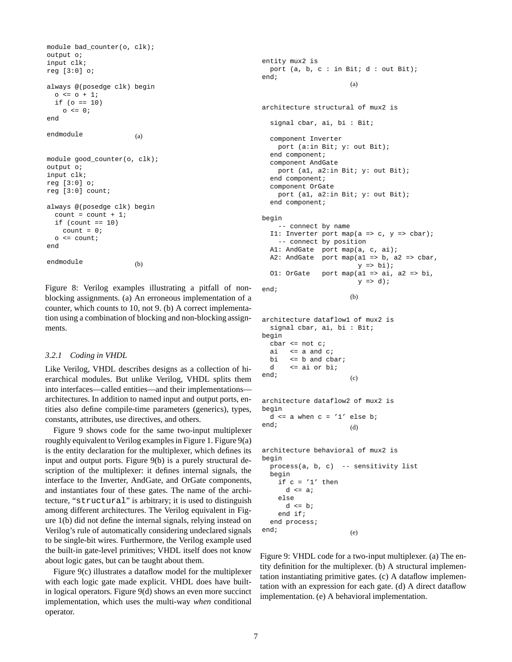```
module bad_counter(o, clk);
output o;
input clk;
reg [3:0] o;
always @(posedge clk) begin
  0 \leq 0 + 1;
  if (o == 10)
    0 \leq 0;end
endmodule (a)
module good counter(o, clk);
output o;
input clk;
reg [3:0] o;
reg [3:0] count;
always @(posedge clk) begin
  count = count + 1;
  if \text{(count == 10)}count = 0;o \leq \text{count};
end
endmodule (b)
```
Figure 8: Verilog examples illustrating a pitfall of nonblocking assignments. (a) An erroneous implementation of a counter, which counts to 10, not 9. (b) A correct implementation using a combination of blocking and non-blocking assignments.

#### *3.2.1 Coding in VHDL*

Like Verilog, VHDL describes designs as a collection of hierarchical modules. But unlike Verilog, VHDL splits them into interfaces—called entities—and their implementations architectures. In addition to named input and output ports, entities also define compile-time parameters (generics), types, constants, attributes, use directives, and others.

Figure 9 shows code for the same two-input multiplexer roughly equivalent to Verilog examplesin Figure 1. Figure 9(a) is the entity declaration for the multiplexer, which defines its input and output ports. Figure 9(b) is a purely structural description of the multiplexer: it defines internal signals, the interface to the Inverter, AndGate, and OrGate components, and instantiates four of these gates. The name of the architecture, "structural" is arbitrary; it is used to distinguish among different architectures. The Verilog equivalent in Figure 1(b) did not define the internal signals, relying instead on Verilog's rule of automatically considering undeclared signals to be single-bit wires. Furthermore, the Verilog example used the built-in gate-level primitives; VHDL itself does not know about logic gates, but can be taught about them.

Figure 9(c) illustrates a dataflow model for the multiplexer with each logic gate made explicit. VHDL does have builtin logical operators. Figure 9(d) shows an even more succinct implementation, which uses the multi-way *when* conditional operator.

```
entity mux2 is
 port (a, b, c : in Bit; d : out Bit);
end;
                       (a)
```

```
architecture structural of mux2 is
  signal cbar, ai, bi : Bit;
  component Inverter
   port (a:in Bit; y: out Bit);
  end component;
  component AndGate
   port (a1, a2:in Bit; y: out Bit);
  end component;
  component OrGate
   port (a1, a2:in Bit; y: out Bit);
  end component;
begin
   -- connect by name
  I1: Inverter port map(a => c, y => cbar);
    -- connect by position
  A1: AndGate port map(a, c, ai);
  A2: AndGate port map(a1 => b, a2 => cbar,
                       y \Rightarrow bi);O1: OrGate port map(a1 => ai, a2 => bi,
                         y \Rightarrow d);
end;
                       (b)
```

```
architecture dataflow1 of mux2 is
  signal cbar, ai, bi : Bit;
begin
 char \leq not ciai \leq a and \leq;
 bi <= b and cbar;
 d <= ai or bi;
end; (c)
```

```
architecture dataflow2 of mux2 is
begin
 d \leq a when c = '1' else b;
end; (d)
```

```
architecture behavioral of mux2 is
begin
 process(a, b, c) -- sensitivity list
 begin
   if c = '1' then
     d \leq a;
   else
     d \leq bend if;
 end process;
end; (e)
```
Figure 9: VHDL code for a two-input multiplexer. (a) The entity definition for the multiplexer. (b) A structural implementation instantiating primitive gates. (c) A dataflow implementation with an expression for each gate. (d) A direct dataflow implementation. (e) A behavioral implementation.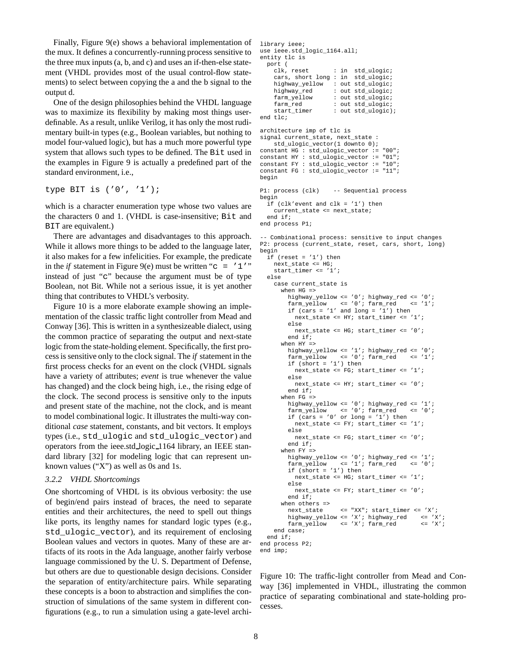Finally, Figure 9(e) shows a behavioral implementation of the mux. It defines a concurrently-running process sensitive to the three mux inputs (a, b, and c) and uses an if-then-else statement (VHDL provides most of the usual control-flow statements) to select between copying the a and the b signal to the output d.

One of the design philosophies behind the VHDL language was to maximize its flexibility by making most things userdefinable. As a result, unlike Verilog, it has only the most rudimentary built-in types (e.g., Boolean variables, but nothing to model four-valued logic), but has a much more powerful type system that allows such types to be defined. The Bit used in the examples in Figure 9 is actually a predefined part of the standard environment, i.e.,

```
type BIT is ('0', '1');
```
which is a character enumeration type whose two values are the characters 0 and 1. (VHDL is case-insensitive; Bit and BIT are equivalent.)

There are advantages and disadvantages to this approach. While it allows more things to be added to the language later, it also makes for a few infelicities. For example, the predicate in the *if* statement in Figure 9(e) must be written " $c = '1'$ " instead of just "c" because the argument must be of type Boolean, not Bit. While not a serious issue, it is yet another thing that contributes to VHDL's verbosity.

Figure 10 is a more elaborate example showing an implementation of the classic traffic light controller from Mead and Conway [36]. This is written in a synthesizeable dialect, using the common practice of separating the output and next-state logic from the state-holding element. Specifically, the first process is sensitive only to the clock signal. The *if* statement in the first process checks for an event on the clock (VHDL signals have a variety of attributes; *event* is true whenever the value has changed) and the clock being high, i.e., the rising edge of the clock. The second process is sensitive only to the inputs and present state of the machine, not the clock, and is meant to model combinational logic. It illustrates the multi-way conditional *case* statement, constants, and bit vectors. It employs types (i.e., std\_ulogic and std\_ulogic\_vector) and operators from the ieee.std logic 1164 library, an IEEE standard library [32] for modeling logic that can represent unknown values ("X") as well as 0s and 1s.

### *3.2.2 VHDL Shortcomings*

One shortcoming of VHDL is its obvious verbosity: the use of begin/end pairs instead of braces, the need to separate entities and their architectures, the need to spell out things like ports, its lengthy names for standard logic types (e.g., std\_ulogic\_vector), and its requirement of enclosing Boolean values and vectors in quotes. Many of these are artifacts of its roots in the Ada language, another fairly verbose language commissioned by the U. S. Department of Defense, but others are due to questionable design decisions. Consider the separation of entity/architecture pairs. While separating these concepts is a boon to abstraction and simplifies the construction of simulations of the same system in different configurations (e.g., to run a simulation using a gate-level archi-

```
library ieee;
use ieee.std_logic_1164.all;
entity tlc is
  port (
    clk, reset : in std_ulogic;
    cars, short long : in std_ulogic;
    highway_yellow : out std_ulogic;<br>highway red : out std ulogic;
    highway_red : out std_ulogic;<br>farm_yellow : out std_ulogic;
    farm_yellow : out std_ulogic;
                       : out std_ulogic;
    start_timer : out std_ulogic);
end tlc;
architecture imp of tlc is
signal current state, next state :
    std_ulogic_vector(1 downto 0);
constant HG : std_ulogic_vector := "00";
constant HY : std_ulogic_vector := "01";
constant FY : std_ulogic_vector := "10";
constant FG : std_ulogic_vector := "11";
begin
P1: process (clk) -- Sequential process
begin
  if (clk'event and clk = '1') then
    current_state <= next_state;
  end if;
end process P1;
-- Combinational process: sensitive to input changes
P2: process (current_state, reset, cars, short, long)
begin
  if (reset = (1') then
    next_state <= HG;
    start_timer <= '1';
  else
    case current_state is
      when HG =>
        highway_yellow <= '0'; highway_red <= '0';
         farm_yellow <= '0'; farm_red <= '1';
         if (cars = '1' and long = '1') then
           next_state <= HY; start_timer <= '1';
         else
          next_state <= HG; start_timer <= '0';
         end if;
       when HY =>
        highway_yellow <= '1'; highway_red <= '0';<br>farm vellow <= '0'; farm red <= '1';
                         \Leftarrow '0'; farm_red
         if (short = '1') then
           next_state <= FG; start_timer <= '1';
         else
           next state <= HY; start timer <= '0';
         end if;
      when FG =>
        highway_yellow <= '0'; highway_red <= '1';
         farm_yellow <= '0'; farm_red <= '0';
if (cars = '0' or long = '1') then
          next_state <= FY; start_timer <= '1';
         else
          next_state <= FG; start_timer <= '0';
        end if;
      when FY =>
        highway_yellow <= '0'; highway_red <= '1';<br>
farm vellow <= '1'; farm red <= '0';
         farm\_yellow \leftarrow '1'; farm\_redif (short = '1') then
           next state \leq HG; start timer \leq '1';
         else
          next state \leq FY; start timer \leq '0';
        end if;
      when others =>
        next state \leq "XX"; start timer \leq 'X';
        highway_yellow <= 'X'; highway_red <= 'X';<br>farm vellow <= 'X'; farm red <= 'X';
        farm_yellow <= 'X'; farm_red <= 'X';
    end case;
  end if;
end process P2;
```
end imp;

Figure 10: The traffic-light controller from Mead and Conway [36] implemented in VHDL, illustrating the common practice of separating combinational and state-holding processes.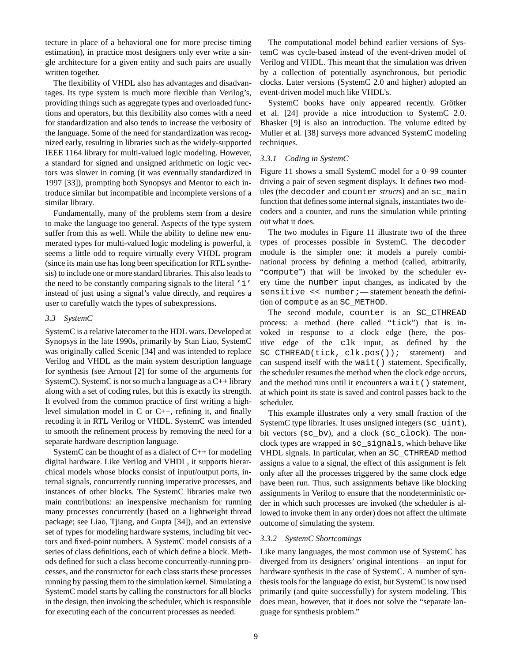tecture in place of a behavioral one for more precise timing estimation), in practice most designers only ever write a single architecture for a given entity and such pairs are usually written together.

The flexibility of VHDL also has advantages and disadvantages. Its type system is much more flexible than Verilog's, providing things such as aggregate types and overloaded functions and operators, but this flexibility also comes with a need for standardization and also tends to increase the verbosity of the language. Some of the need for standardization was recognized early, resulting in libraries such as the widely-supported IEEE 1164 library for multi-valued logic modeling. However, a standard for signed and unsigned arithmetic on logic vectors was slower in coming (it was eventually standardized in 1997 [33]), prompting both Synopsys and Mentor to each introduce similar but incompatible and incomplete versions of a similar library.

Fundamentally, many of the problems stem from a desire to make the language too general. Aspects of the type system suffer from this as well. While the ability to define new enumerated types for multi-valued logic modeling is powerful, it seems a little odd to require virtually every VHDL program (since its main use has long been specification for RTL synthesis) to include one or more standard libraries. This also leads to the need to be constantly comparing signals to the literal '1' instead of just using a signal's value directly, and requires a user to carefully watch the types of subexpressions.

#### *3.3 SystemC*

SystemC is a relative latecomer to the HDL wars. Developed at Synopsys in the late 1990s, primarily by Stan Liao, SystemC was originally called Scenic [34] and was intended to replace Verilog and VHDL as the main system description language for synthesis (see Arnout [2] for some of the arguments for SystemC). SystemC is not so much a language as a  $C_{++}$  library along with a set of coding rules, but this is exactly its strength. It evolved from the common practice of first writing a highlevel simulation model in C or C++, refining it, and finally recoding it in RTL Verilog or VHDL. SystemC was intended to smooth the refinement process by removing the need for a separate hardware description language.

SystemC can be thought of as a dialect of C++ for modeling digital hardware. Like Verilog and VHDL, it supports hierarchical models whose blocks consist of input/output ports, internal signals, concurrently running imperative processes, and instances of other blocks. The SystemC libraries make two main contributions: an inexpensive mechanism for running many processes concurrently (based on a lightweight thread package; see Liao, Tjiang, and Gupta [34]), and an extensive set of types for modeling hardware systems, including bit vectors and fixed-point numbers. A SystemC model consists of a series of class definitions, each of which define a block. Methods defined for such a class become concurrently-running processes, and the constructor for each class starts these processes running by passing them to the simulation kernel. Simulating a SystemC model starts by calling the constructors for all blocks in the design, then invoking the scheduler, which is responsible for executing each of the concurrent processes as needed.

The computational model behind earlier versions of SystemC was cycle-based instead of the event-driven model of Verilog and VHDL. This meant that the simulation was driven by a collection of potentially asynchronous, but periodic clocks. Later versions (SystemC 2.0 and higher) adopted an event-driven model much like VHDL's.

SystemC books have only appeared recently. Grötker et al. [24] provide a nice introduction to SystemC 2.0. Bhasker [9] is also an introduction. The volume edited by Muller et al. [38] surveys more advanced SystemC modeling techniques.

### *3.3.1 Coding in SystemC*

Figure 11 shows a small SystemC model for a 0–99 counter driving a pair of seven segment displays. It defines two modules (the decoder and counter *struct*s) and an sc\_main function that defines some internal signals, instantiates two decoders and a counter, and runs the simulation while printing out what it does.

The two modules in Figure 11 illustrate two of the three types of processes possible in SystemC. The decoder module is the simpler one: it models a purely combinational process by defining a method (called, arbitrarily, "compute") that will be invoked by the scheduler every time the number input changes, as indicated by the sensitive << number; - statement beneath the definition of compute as an SC\_METHOD.

The second module, counter is an SC\_CTHREAD process: a method (here called "tick") that is invoked in response to a clock edge (here, the positive edge of the clk input, as defined by the SC\_CTHREAD(tick, clk.pos()); statement) and can suspend itself with the wait() statement. Specifically, the scheduler resumes the method when the clock edge occurs, and the method runs until it encounters a wait() statement, at which point its state is saved and control passes back to the scheduler.

This example illustrates only a very small fraction of the SystemC type libraries. It uses unsigned integers (sc\_uint), bit vectors (sc\_bv), and a clock (sc\_clock). The nonclock types are wrapped in sc\_signals, which behave like VHDL signals. In particular, when an SC\_CTHREAD method assigns a value to a signal, the effect of this assignment is felt only after all the processes triggered by the same clock edge have been run. Thus, such assignments behave like blocking assignments in Verilog to ensure that the nondeterministic order in which such processes are invoked (the scheduler is allowed to invoke them in any order) does not affect the ultimate outcome of simulating the system.

### *3.3.2 SystemC Shortcomings*

Like many languages, the most common use of SystemC has diverged from its designers' original intentions—an input for hardware synthesis in the case of SystemC. A number of synthesis tools for the language do exist, but SystemC is now used primarily (and quite successfully) for system modeling. This does mean, however, that it does not solve the "separate language for synthesis problem."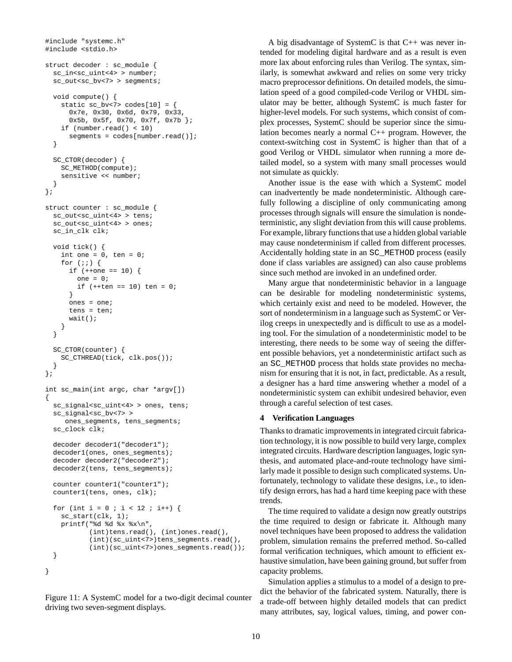```
#include "systemc.h"
#include <stdio.h>
struct decoder : sc_module {
 sc_in<sc_uint<4> > number;
  sc_out<sc_bv<7> > segments;
 void compute() {
    static sc_bv<7> codes[10] = {
      0x7e, 0x30, 0x6d, 0x79, 0x33,
      0x5b, 0x5f, 0x70, 0x7f, 0x7b };
    if (number.read() < 10)
      segments = codes[number.read()];
  }
  SC_CTOR(decoder) {
    SC_METHOD(compute);
    sensitive << number;
  }
};
struct counter : sc_module {
  sc_out<sc_uint<4> > tens;
 sc_out<sc_uint<4> > ones;
 sc_in_clk clk;
  void tick() {
    int one = 0, ten = 0;
    for (i; j) {
      if (++one == 10) {
        one = 0;
        if (++ten == 10) ten = 0;}
      ones = one;
      tens = ten;
      wait();
    }
  }
  SC_CTOR(counter) {
    SC_CTHREAD(tick, clk.pos());
  }
};
int sc_main(int argc, char *argv[])
{
  sc_signal<sc_uint<4> > ones, tens;
  sc_signal<sc_bv<7> >
    ones_segments, tens_segments;
  sc_clock clk;
  decoder decoder1("decoder1");
 decoder1(ones, ones segments);
  decoder decoder2("decoder2");
  decoder2(tens, tens_segments);
  counter counter1("counter1");
 counter1(tens, ones, clk);
 for (int i = 0; i < 12; i++) {
    sc_start(clk, 1);
   printf("%d %d %x %x\n",
           (int)tens.read(), (int)ones.read(),
           (int)(sc_uint<7>)tens_segments.read(),
           (int)(sc_uint<7>)ones_segments.read());
  }
}
```
Figure 11: A SystemC model for a two-digit decimal counter driving two seven-segment displays.

A big disadvantage of SystemC is that C++ was never intended for modeling digital hardware and as a result is even more lax about enforcing rules than Verilog. The syntax, similarly, is somewhat awkward and relies on some very tricky macro preprocessor definitions. On detailed models, the simulation speed of a good compiled-code Verilog or VHDL simulator may be better, although SystemC is much faster for higher-level models. For such systems, which consist of complex processes, SystemC should be superior since the simulation becomes nearly a normal C++ program. However, the context-switching cost in SystemC is higher than that of a good Verilog or VHDL simulator when running a more detailed model, so a system with many small processes would not simulate as quickly.

Another issue is the ease with which a SystemC model can inadvertently be made nondeterministic. Although carefully following a discipline of only communicating among processes through signals will ensure the simulation is nondeterministic, any slight deviation from this will cause problems. For example, library functions that use a hidden global variable may cause nondeterminism if called from different processes. Accidentally holding state in an SC\_METHOD process (easily done if class variables are assigned) can also cause problems since such method are invoked in an undefined order.

Many argue that nondeterministic behavior in a language can be desirable for modeling nondeterministic systems, which certainly exist and need to be modeled. However, the sort of nondeterminism in a language such as SystemC or Verilog creeps in unexpectedly and is difficult to use as a modeling tool. For the simulation of a nondeterministic model to be interesting, there needs to be some way of seeing the different possible behaviors, yet a nondeterministic artifact such as an SC\_METHOD process that holds state provides no mechanism for ensuring that it is not, in fact, predictable. As a result, a designer has a hard time answering whether a model of a nondeterministic system can exhibit undesired behavior, even through a careful selection of test cases.

#### **4 Verification Languages**

Thanks to dramatic improvements in integrated circuit fabrication technology, it is now possible to build very large, complex integrated circuits. Hardware description languages, logic synthesis, and automated place-and-route technology have similarly made it possible to design such complicated systems. Unfortunately, technology to validate these designs, i.e., to identify design errors, has had a hard time keeping pace with these trends.

The time required to validate a design now greatly outstrips the time required to design or fabricate it. Although many novel techniques have been proposed to address the validation problem, simulation remains the preferred method. So-called formal verification techniques, which amount to efficient exhaustive simulation, have been gaining ground, but suffer from capacity problems.

Simulation applies a stimulus to a model of a design to predict the behavior of the fabricated system. Naturally, there is a trade-off between highly detailed models that can predict many attributes, say, logical values, timing, and power con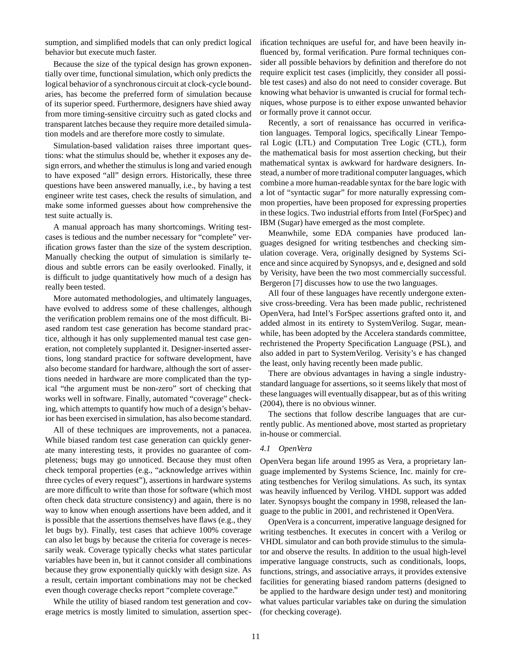sumption, and simplified models that can only predict logical behavior but execute much faster.

Because the size of the typical design has grown exponentially over time, functional simulation, which only predicts the logical behavior of a synchronous circuit at clock-cycle boundaries, has become the preferred form of simulation because of its superior speed. Furthermore, designers have shied away from more timing-sensitive circuitry such as gated clocks and transparent latches because they require more detailed simulation models and are therefore more costly to simulate.

Simulation-based validation raises three important questions: what the stimulus should be, whether it exposes any design errors, and whether the stimulus is long and varied enough to have exposed "all" design errors. Historically, these three questions have been answered manually, i.e., by having a test engineer write test cases, check the results of simulation, and make some informed guesses about how comprehensive the test suite actually is.

A manual approach has many shortcomings. Writing testcases is tedious and the number necessary for "complete" verification grows faster than the size of the system description. Manually checking the output of simulation is similarly tedious and subtle errors can be easily overlooked. Finally, it is difficult to judge quantitatively how much of a design has really been tested.

More automated methodologies, and ultimately languages, have evolved to address some of these challenges, although the verification problem remains one of the most difficult. Biased random test case generation has become standard practice, although it has only supplemented manual test case generation, not completely supplanted it. Designer-inserted assertions, long standard practice for software development, have also become standard for hardware, although the sort of assertions needed in hardware are more complicated than the typical "the argument must be non-zero" sort of checking that works well in software. Finally, automated "coverage" checking, which attempts to quantify how much of a design's behavior has been exercised in simulation, has also become standard.

All of these techniques are improvements, not a panacea. While biased random test case generation can quickly generate many interesting tests, it provides no guarantee of completeness; bugs may go unnoticed. Because they must often check temporal properties (e.g., "acknowledge arrives within three cycles of every request"), assertions in hardware systems are more difficult to write than those for software (which most often check data structure consistency) and again, there is no way to know when enough assertions have been added, and it is possible that the assertions themselves have flaws (e.g., they let bugs by). Finally, test cases that achieve 100% coverage can also let bugs by because the criteria for coverage is necessarily weak. Coverage typically checks what states particular variables have been in, but it cannot consider all combinations because they grow exponentially quickly with design size. As a result, certain important combinations may not be checked even though coverage checks report "complete coverage."

While the utility of biased random test generation and coverage metrics is mostly limited to simulation, assertion specification techniques are useful for, and have been heavily influenced by, formal verification. Pure formal techniques consider all possible behaviors by definition and therefore do not require explicit test cases (implicitly, they consider all possible test cases) and also do not need to consider coverage. But knowing what behavior is unwanted is crucial for formal techniques, whose purpose is to either expose unwanted behavior or formally prove it cannot occur.

Recently, a sort of renaissance has occurred in verification languages. Temporal logics, specifically Linear Temporal Logic (LTL) and Computation Tree Logic (CTL), form the mathematical basis for most assertion checking, but their mathematical syntax is awkward for hardware designers. Instead, a number of more traditional computer languages, which combine a more human-readable syntax for the bare logic with a lot of "syntactic sugar" for more naturally expressing common properties, have been proposed for expressing properties in these logics. Two industrial efforts from Intel (ForSpec) and IBM (Sugar) have emerged as the most complete.

Meanwhile, some EDA companies have produced languages designed for writing testbenches and checking simulation coverage. Vera, originally designed by Systems Science and since acquired by Synopsys, and e, designed and sold by Verisity, have been the two most commercially successful. Bergeron [7] discusses how to use the two languages.

All four of these languages have recently undergone extensive cross-breeding. Vera has been made public, rechristened OpenVera, had Intel's ForSpec assertions grafted onto it, and added almost in its entirety to SystemVerilog. Sugar, meanwhile, has been adopted by the Accelera standards committee, rechristened the Property Specification Language (PSL), and also added in part to SystemVerilog. Verisity's e has changed the least, only having recently been made public.

There are obvious advantages in having a single industrystandard language for assertions, so it seems likely that most of these languages will eventually disappear, but as of this writing (2004), there is no obvious winner.

The sections that follow describe languages that are currently public. As mentioned above, most started as proprietary in-house or commercial.

#### *4.1 OpenVera*

OpenVera began life around 1995 as Vera, a proprietary language implemented by Systems Science, Inc. mainly for creating testbenches for Verilog simulations. As such, its syntax was heavily influenced by Verilog. VHDL support was added later. Synopsys bought the company in 1998, released the language to the public in 2001, and rechristened it OpenVera.

OpenVera is a concurrent, imperative language designed for writing testbenches. It executes in concert with a Verilog or VHDL simulator and can both provide stimulus to the simulator and observe the results. In addition to the usual high-level imperative language constructs, such as conditionals, loops, functions, strings, and associative arrays, it provides extensive facilities for generating biased random patterns (designed to be applied to the hardware design under test) and monitoring what values particular variables take on during the simulation (for checking coverage).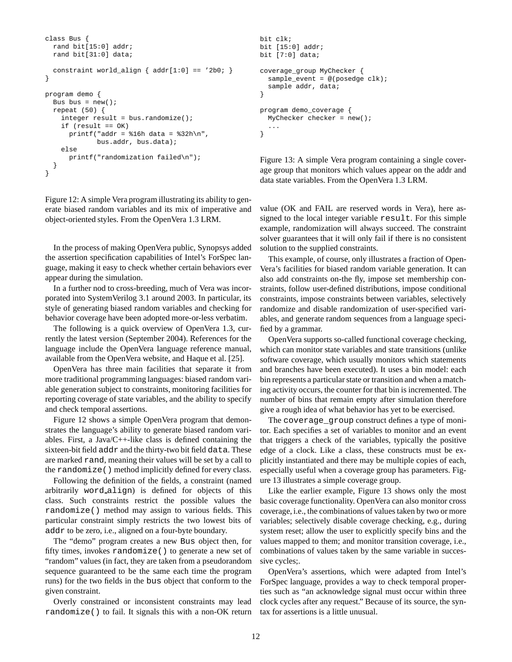```
class Bus {
 rand bit[15:0] addr;
 rand bit[31:0] data;
  constraint world_align { addr[1:0] == '2b0; }
}
program demo {
 Bus bus = new();
  repeat (50) {
    integer result = bus.randomize();
    if (result == OK)
      printf("addr = \$16h data = \$32h\n",
             bus.addr, bus.data);
    else
      printf("randomization failed\n");
  }
}
```
Figure 12: A simple Vera program illustrating its ability to generate biased random variables and its mix of imperative and object-oriented styles. From the OpenVera 1.3 LRM.

In the process of making OpenVera public, Synopsys added the assertion specification capabilities of Intel's ForSpec language, making it easy to check whether certain behaviors ever appear during the simulation.

In a further nod to cross-breeding, much of Vera was incorporated into SystemVerilog 3.1 around 2003. In particular, its style of generating biased random variables and checking for behavior coverage have been adopted more-or-less verbatim.

The following is a quick overview of OpenVera 1.3, currently the latest version (September 2004). References for the language include the OpenVera language reference manual, available from the OpenVera website, and Haque et al. [25].

OpenVera has three main facilities that separate it from more traditional programming languages: biased random variable generation subject to constraints, monitoring facilities for reporting coverage of state variables, and the ability to specify and check temporal assertions.

Figure 12 shows a simple OpenVera program that demonstrates the language's ability to generate biased random variables. First, a Java/C++-like class is defined containing the sixteen-bit field addr and the thirty-two bit field data. These are marked rand, meaning their values will be set by a call to the randomize() method implicitly defined for every class.

Following the definition of the fields, a constraint (named arbitrarily word align) is defined for objects of this class. Such constraints restrict the possible values the randomize() method may assign to various fields. This particular constraint simply restricts the two lowest bits of addr to be zero, i.e., aligned on a four-byte boundary.

The "demo" program creates a new Bus object then, for fifty times, invokes randomize() to generate a new set of "random" values (in fact, they are taken from a pseudorandom sequence guaranteed to be the same each time the program runs) for the two fields in the bus object that conform to the given constraint.

Overly constrained or inconsistent constraints may lead randomize() to fail. It signals this with a non-OK return

```
bit clk;
bit [15:0] addr;
bit [7:0] data;
coverage group MyChecker {
  sample_event = @(posedge clk);
  sample addr, data;
}
program demo_coverage {
  MyChecker checker = new();
  ...
}
```
Figure 13: A simple Vera program containing a single coverage group that monitors which values appear on the addr and data state variables. From the OpenVera 1.3 LRM.

value (OK and FAIL are reserved words in Vera), here assigned to the local integer variable result. For this simple example, randomization will always succeed. The constraint solver guarantees that it will only fail if there is no consistent solution to the supplied constraints.

This example, of course, only illustrates a fraction of Open-Vera's facilities for biased random variable generation. It can also add constraints on-the fly, impose set membership constraints, follow user-defined distributions, impose conditional constraints, impose constraints between variables, selectively randomize and disable randomization of user-specified variables, and generate random sequences from a language specified by a grammar.

OpenVera supports so-called functional coverage checking, which can monitor state variables and state transitions (unlike software coverage, which usually monitors which statements and branches have been executed). It uses a bin model: each bin represents a particular state or transition and when a matching activity occurs, the counter for that bin is incremented. The number of bins that remain empty after simulation therefore give a rough idea of what behavior has yet to be exercised.

The coverage group construct defines a type of monitor. Each specifies a set of variables to monitor and an event that triggers a check of the variables, typically the positive edge of a clock. Like a class, these constructs must be explicitly instantiated and there may be multiple copies of each, especially useful when a coverage group has parameters. Figure 13 illustrates a simple coverage group.

Like the earlier example, Figure 13 shows only the most basic coverage functionality. OpenVera can also monitor cross coverage, i.e., the combinations of values taken by two or more variables; selectively disable coverage checking, e.g., during system reset; allow the user to explicitly specify bins and the values mapped to them; and monitor transition coverage, i.e., combinations of values taken by the same variable in successive cycles;.

OpenVera's assertions, which were adapted from Intel's ForSpec language, provides a way to check temporal properties such as "an acknowledge signal must occur within three clock cycles after any request." Because of its source, the syntax for assertions is a little unusual.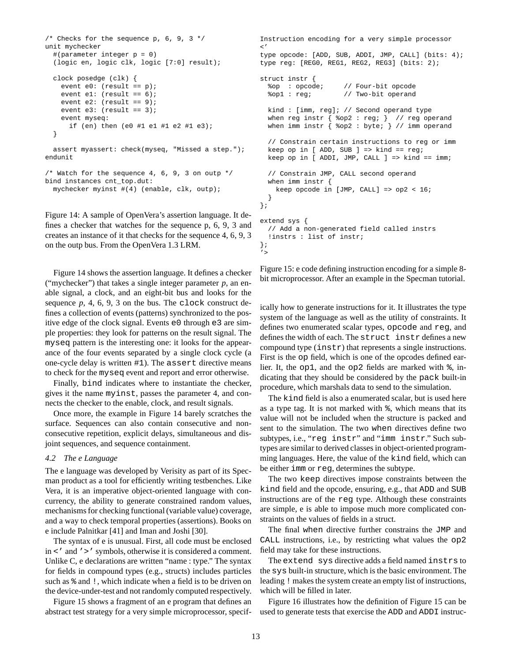```
/* Checks for the sequence p, 6, 9, 3 */unit mychecker
  #(parameter integer p = 0)
  (logic en, logic clk, logic [7:0] result);
 clock posedge (clk) {
   event e0: (result == p);
    event e1: (result == 6);
    event e2: (result == 9);
    event e3: (result == 3);
    event myseq:
      if (en) then (e0 #1 e1 #1 e2 #1 e3);
  }
```
assert myassert: check(myseq, "Missed a step."); endunit

```
/* Watch for the sequence 4, 6, 9, 3 on outp */
bind instances cnt_top.dut:
  mychecker myinst #(4) (enable, clk, outp);
```
Figure 14: A sample of OpenVera's assertion language. It defines a checker that watches for the sequence p, 6, 9, 3 and creates an instance of it that checks for the sequence 4, 6, 9, 3 on the outp bus. From the OpenVera 1.3 LRM.

Figure 14 shows the assertion language. It defines a checker ("mychecker") that takes a single integer parameter  $p$ , an enable signal, a clock, and an eight-bit bus and looks for the sequence  $p$ , 4, 6, 9, 3 on the bus. The clock construct defines a collection of events (patterns) synchronized to the positive edge of the clock signal. Events e0 through e3 are simple properties: they look for patterns on the result signal. The myseq pattern is the interesting one: it looks for the appearance of the four events separated by a single clock cycle (a one-cycle delay is written #1). The assert directive means to check for the myseq event and report and error otherwise.

Finally, bind indicates where to instantiate the checker, gives it the name myinst, passes the parameter 4, and connects the checker to the enable, clock, and result signals.

Once more, the example in Figure 14 barely scratches the surface. Sequences can also contain consecutive and nonconsecutive repetition, explicit delays, simultaneous and disjoint sequences, and sequence containment.

#### *4.2 The e Language*

The e language was developed by Verisity as part of its Specman product as a tool for efficiently writing testbenches. Like Vera, it is an imperative object-oriented language with concurrency, the ability to generate constrained random values, mechanisms for checking functional (variable value) coverage, and a way to check temporal properties (assertions). Books on e include Palnitkar [41] and Iman and Joshi [30].

The syntax of e is unusual. First, all code must be enclosed in <' and '>' symbols, otherwise it is considered a comment. Unlike C, e declarations are written "name : type." The syntax for fields in compound types (e.g., structs) includes particles such as % and !, which indicate when a field is to be driven on the device-under-test and not randomly computed respectively.

Figure 15 shows a fragment of an e program that defines an abstract test strategy for a very simple microprocessor, specif-

```
Instruction encoding for a very simple processor
<'
type opcode: [ADD, SUB, ADDI, JMP, CALL] (bits: 4);
type reg: [REG0, REG1, REG2, REG3] (bits: 2);
struct instr \{ \} opcode;
                     // Four-bit opcode
  %op1 : reg; // Two-bit operand
  kind : [imm, reg]; // Second operand type
  when reg instr { %op2 : reg; } // reg operand
  when imm instr { %op2 : byte; } // imm operand
  // Constrain certain instructions to reg or imm
  keep op in [ ADD, SUB ] => kind == reg;
  keep op in [ ADDI, JMP, CALL ] => kind == imm;
  // Constrain JMP, CALL second operand
  when imm instr {
    keep opcode in [JMP, CALL] => op2 < 16;
  }
};
extend sys {
  // Add a non-generated field called instrs
  !instrs : list of instr;
};
```
Figure 15: e code defining instruction encoding for a simple 8 bit microprocessor. After an example in the Specman tutorial.

ically how to generate instructions for it. It illustrates the type system of the language as well as the utility of constraints. It defines two enumerated scalar types, opcode and reg, and defines the width of each. The struct instr defines a new compound type (instr) that represents a single instructions. First is the op field, which is one of the opcodes defined earlier. It, the op1, and the op2 fields are marked with %, indicating that they should be considered by the pack built-in procedure, which marshals data to send to the simulation.

The kind field is also a enumerated scalar, but is used here as a type tag. It is not marked with %, which means that its value will not be included when the structure is packed and sent to the simulation. The two when directives define two subtypes, i.e., "reg instr" and "imm instr." Such subtypes are similar to derived classes in object-oriented programming languages. Here, the value of the kind field, which can be either imm or reg, determines the subtype.

The two keep directives impose constraints between the kind field and the opcode, ensuring, e.g., that ADD and SUB instructions are of the reg type. Although these constraints are simple, e is able to impose much more complicated constraints on the values of fields in a struct.

The final when directive further constrains the JMP and CALL instructions, i.e., by restricting what values the op2 field may take for these instructions.

The extend sys directive adds a field named instrs to the sys built-in structure, which is the basic environment. The leading ! makes the system create an empty list of instructions, which will be filled in later.

Figure 16 illustrates how the definition of Figure 15 can be used to generate tests that exercise the ADD and ADDI instruc-

'>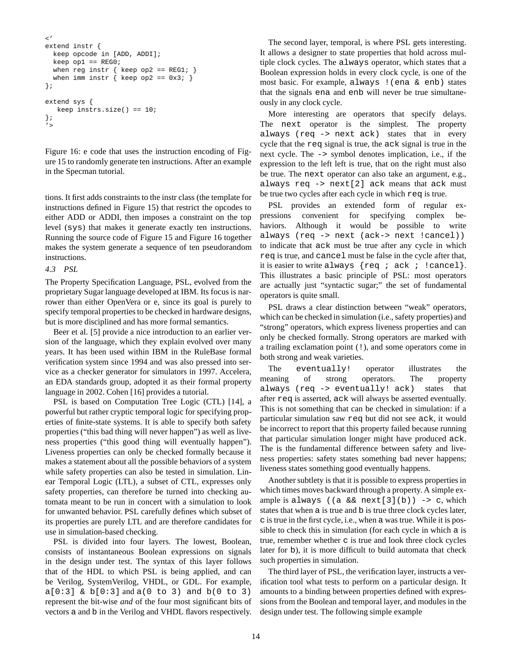```
<'
extend instr {
  keep opcode in [ADD, ADDI];
  keep op1 == REGO;when reg instr \{ \text{keep op2 == REG1} \}when imm instr { keep op2 == 0x3; }
};
extend sys {
   keep instrs.size() == 10;
};
'>
```
Figure 16: e code that uses the instruction encoding of Figure 15 to randomly generate ten instructions. After an example in the Specman tutorial.

tions. It first adds constraints to the instr class (the template for instructions defined in Figure 15) that restrict the opcodes to either ADD or ADDI, then imposes a constraint on the top level (sys) that makes it generate exactly ten instructions. Running the source code of Figure 15 and Figure 16 together makes the system generate a sequence of ten pseudorandom instructions.

#### *4.3 PSL*

The Property Specification Language, PSL, evolved from the proprietary Sugar language developed at IBM. Its focus is narrower than either OpenVera or e, since its goal is purely to specify temporal properties to be checked in hardware designs, but is more disciplined and has more formal semantics.

Beer et al. [5] provide a nice introduction to an earlier version of the language, which they explain evolved over many years. It has been used within IBM in the RuleBase formal verification system since 1994 and was also pressed into service as a checker generator for simulators in 1997. Accelera, an EDA standards group, adopted it as their formal property language in 2002. Cohen [16] provides a tutorial.

PSL is based on Computation Tree Logic (CTL) [14], a powerful but rather cryptic temporal logic for specifying properties of finite-state systems. It is able to specify both safety properties ("this bad thing will never happen") as well as liveness properties ("this good thing will eventually happen"). Liveness properties can only be checked formally because it makes a statement about all the possible behaviors of a system while safety properties can also be tested in simulation. Linear Temporal Logic (LTL), a subset of CTL, expresses only safety properties, can therefore be turned into checking automata meant to be run in concert with a simulation to look for unwanted behavior. PSL carefully defines which subset of its properties are purely LTL and are therefore candidates for use in simulation-based checking.

PSL is divided into four layers. The lowest, Boolean, consists of instantaneous Boolean expressions on signals in the design under test. The syntax of this layer follows that of the HDL to which PSL is being applied, and can be Verilog, SystemVerilog, VHDL, or GDL. For example, a[0:3] & b[0:3] and a(0 to 3) and b(0 to 3) represent the bit-wise *and* of the four most significant bits of vectors a and b in the Verilog and VHDL flavors respectively.

The second layer, temporal, is where PSL gets interesting. It allows a designer to state properties that hold across multiple clock cycles. The always operator, which states that a Boolean expression holds in every clock cycle, is one of the most basic. For example, always !(ena & enb) states that the signals ena and enb will never be true simultaneously in any clock cycle.

More interesting are operators that specify delays. The next operator is the simplest. The property always (req -> next ack) states that in every cycle that the req signal is true, the ack signal is true in the next cycle. The -> symbol denotes implication, i.e., if the expression to the left left is true, that on the right must also be true. The next operator can also take an argument, e.g., always req -> next[2] ack means that ack must be true two cycles after each cycle in which req is true.

PSL provides an extended form of regular expressions convenient for specifying complex behaviors. Although it would be possible to write always (req -> next (ack-> next !cancel)) to indicate that ack must be true after any cycle in which req is true, and cancel must be false in the cycle after that, it is easier to write always  $\{ \text{req} : \text{ack} : \text{cancel} \}.$ This illustrates a basic principle of PSL: most operators are actually just "syntactic sugar;" the set of fundamental operators is quite small.

PSL draws a clear distinction between "weak" operators, which can be checked in simulation (i.e., safety properties) and "strong" operators, which express liveness properties and can only be checked formally. Strong operators are marked with a trailing exclamation point (!), and some operators come in both strong and weak varieties.

The eventually! operator illustrates the meaning of strong operators. The property always (req -> eventually! ack) states that after req is asserted, ack will always be asserted eventually. This is not something that can be checked in simulation: if a particular simulation saw req but did not see ack, it would be incorrect to report that this property failed because running that particular simulation longer might have produced ack. The is the fundamental difference between safety and liveness properties: safety states something bad never happens; liveness states something good eventually happens.

Another subtlety is that it is possible to express properties in which times moves backward through a property. A simple example is always  $((a & \& next[3](b)) \rightarrow c, which$ states that when a is true and b is true three clock cycles later, c is true in the first cycle, i.e., when a was true. While it is possible to check this in simulation (for each cycle in which a is true, remember whether c is true and look three clock cycles later for b), it is more difficult to build automata that check such properties in simulation.

The third layer of PSL, the verification layer, instructs a verification tool what tests to perform on a particular design. It amounts to a binding between properties defined with expressions from the Boolean and temporal layer, and modules in the design under test. The following simple example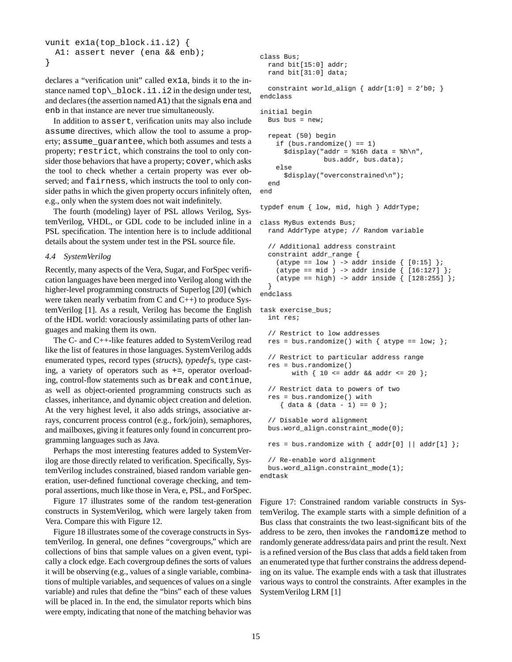```
vunit ex1a(top_block.i1.i2) {
  A1: assert never (ena && enb);
}
```
declares a "verification unit" called ex1a, binds it to the instance named top\\_block.i1.i2 in the design under test, and declares(the assertion named A1) that the signals ena and enb in that instance are never true simultaneously.

In addition to assert, verification units may also include assume directives, which allow the tool to assume a property; assume\_guarantee, which both assumes and tests a property; restrict, which constrains the tool to only consider those behaviors that have a property; cover, which asks the tool to check whether a certain property was ever observed; and fairness, which instructs the tool to only consider paths in which the given property occurs infinitely often, e.g., only when the system does not wait indefinitely.

The fourth (modeling) layer of PSL allows Verilog, SystemVerilog, VHDL, or GDL code to be included inline in a PSL specification. The intention here is to include additional details about the system under test in the PSL source file.

#### *4.4 SystemVerilog*

Recently, many aspects of the Vera, Sugar, and ForSpec verification languages have been merged into Verilog along with the higher-level programming constructs of Superlog [20] (which were taken nearly verbatim from C and C++) to produce SystemVerilog [1]. As a result, Verilog has become the English of the HDL world: voraciously assimilating parts of other languages and making them its own.

The C- and C++-like features added to SystemVerilog read like the list of features in those languages. SystemVerilog adds enumerated types, record types (*struct*s), *typedef*s, type casting, a variety of operators such as +=, operator overloading, control-flow statements such as break and continue, as well as object-oriented programming constructs such as classes, inheritance, and dynamic object creation and deletion. At the very highest level, it also adds strings, associative arrays, concurrent process control (e.g., fork/join), semaphores, and mailboxes, giving it features only found in concurrent programming languages such as Java.

Perhaps the most interesting features added to SystemVerilog are those directly related to verification. Specifically, SystemVerilog includes constrained, biased random variable generation, user-defined functional coverage checking, and temporal assertions, much like those in Vera, e, PSL, and ForSpec.

Figure 17 illustrates some of the random test-generation constructs in SystemVerilog, which were largely taken from Vera. Compare this with Figure 12.

Figure 18 illustrates some of the coverage constructs in SystemVerilog. In general, one defines "covergroups," which are collections of bins that sample values on a given event, typically a clock edge. Each covergroup defines the sorts of values it will be observing (e.g., values of a single variable, combinations of multiple variables, and sequences of values on a single variable) and rules that define the "bins" each of these values will be placed in. In the end, the simulator reports which bins were empty, indicating that none of the matching behavior was

```
class Bus;
  rand bit[15:0] addr;
  rand bit[31:0] data;
  constraint world_align { addr[1:0] = 2'b0; }
endclass
initial begin
  Bus bus = new;
  repeat (50) begin
    if (bus.randomize() == 1)$display ("addr = $16h data = $h\nu",
                 bus.addr, bus.data);
    else
      $display("overconstrained\n");
  end
end
typdef enum { low, mid, high } AddrType;
class MyBus extends Bus;
  rand AddrType atype; // Random variable
  // Additional address constraint
  constraint addr_range {
    (atype == low ) -> addr inside \{ [0:15] \};
    (atype == mid ) \rightarrow addr inside { [16:127] };(\text{atype} == \text{high}) \rightarrow \text{addr} inside \{ [128:255] \};
  }
endclass
task exercise bus;
  int res;
  // Restrict to low addresses
  res = bus.randomize() with { atype == low; };
  // Restrict to particular address range
  res = bus.randomize()
        with \{ 10 \leq addr \&& addr \leq 20 \};
  // Restrict data to powers of two
  res = bus.randomize() with
     \{ data & (data - 1) == 0 \};// Disable word alignment
  bus.word_align.constraint_mode(0);
  res = bus.randomize with { addr[0] || addr[1] };
  // Re-enable word alignment
  bus.word_align.constraint_mode(1);
endtask
```
Figure 17: Constrained random variable constructs in SystemVerilog. The example starts with a simple definition of a Bus class that constraints the two least-significant bits of the address to be zero, then invokes the randomize method to randomly generate address/data pairs and print the result. Next is a refined version of the Bus class that adds a field taken from an enumerated type that further constrains the address depending on its value. The example ends with a task that illustrates various ways to control the constraints. After examples in the SystemVerilog LRM [1]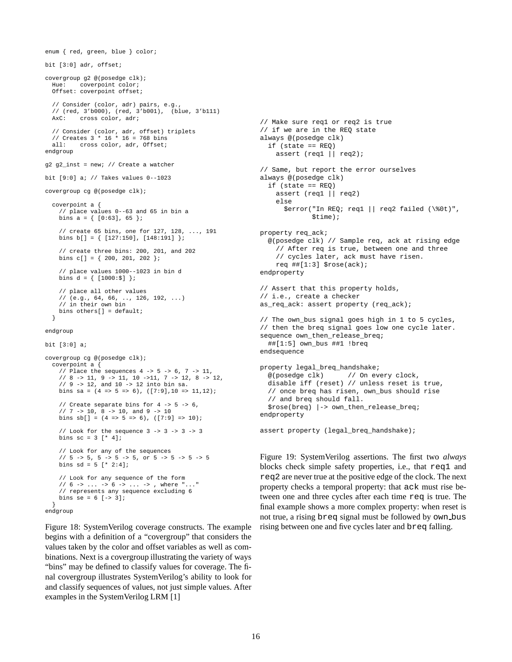```
enum { red, green, blue } color;
bit [3:0] adr, offset;
covergroup g2 @(posedge clk);
 Hue: coverpoint color;
 Offset: coverpoint offset;
 // Consider (color, adr) pairs, e.g.,
  // (red, 3'b000), (red, 3'b001), (blue, 3'b111)
 AxC: cross color, adr;
  // Consider (color, adr, offset) triplets
// Creates 3 * 16 * 16 = 768 bins
 all: cross color, adr, Offset;
endgroup
g2 g2_inst = new; // Create a watcher
bit [9:0] a; // Takes values 0--1023
covergroup cg @(posedge clk);
  coverpoint a {
    // place values 0--63 and 65 in bin a
    bins a = \{ [0:63], 65 \};
    // create 65 bins, one for 127, 128, ..., 191
    bins b[] = { [127:150], [148:191] };
    // create three bins: 200, 201, and 202
    bins c[] = { 200, 201, 202 };
    // place values 1000--1023 in bin d
    bins d = \{ [1000:\$]\};
    // place all other values
    // (e.g., 64, 66, .., 126, 192, ...)
    // in their own bin
    bins others[] = default;
  }
endgroup
bit [3:0] a;
covergroup cg @(posedge clk);
 coverpoint a {
    // Place the sequences 4 -> 5 -> 6, 7 -> 11,
    // 8 -> 11, 9 -> 11, 10 ->11, 7 -> 12, 8 -> 12,
    // 9 -> 12, and 10 -> 12 into bin sa.
    bins sa = (4 \Rightarrow 5 \Rightarrow 6), ([7:9], 10 \Rightarrow 11, 12);
    // Create separate bins for 4 \rightarrow 5 \rightarrow 6,
    // 7 -> 10, 8 -> 10, and 9 -> 10
    bins sb[] = (4 \Rightarrow 5 \Rightarrow 6), ([7:9] \Rightarrow 10);
```
// Look for the sequence  $3 \rightarrow 3 \rightarrow 3 \rightarrow 3$ bins  $sc = 3 (* 4];$ // Look for any of the sequences // 5 -> 5, 5 -> 5 -> 5, or 5 -> 5 -> 5 -> 5 bins sd =  $5$  [\* 2:4];

```
// Look for any sequence of the form
 // 6 -> ... -> 6 -> ... -> , where "..."
 // represents any sequence excluding 6
 bins se = 6 [-> 3];
}
```

```
endgroup
```
Figure 18: SystemVerilog coverage constructs. The example begins with a definition of a "covergroup" that considers the values taken by the color and offset variables as well as combinations. Next is a covergroup illustrating the variety of ways "bins" may be defined to classify values for coverage. The final covergroup illustrates SystemVerilog's ability to look for and classify sequences of values, not just simple values. After examples in the SystemVerilog LRM [1]

```
// Make sure req1 or req2 is true
// if we are in the REQ state
always @(posedge clk)
 if (state == REQ)
    assert (req1 || req2);
// Same, but report the error ourselves
always @(posedge clk)
  if (state == REQ)
    assert (req1 || req2)
    else
      $error("In REQ; req1 || req2 failed (\%0t)",
             $time);
property req_ack;
  @(posedge clk) // Sample req, ack at rising edge
    // After req is true, between one and three
    // cycles later, ack must have risen.
    req \#[1:3] \$rose(ack);
endproperty
// Assert that this property holds,
// i.e., create a checker
as_req_ack: assert property (req_ack);
// The own_bus signal goes high in 1 to 5 cycles,
// then the breq signal goes low one cycle later.
sequence own_then_release_breq;
  ##[1:5] own_bus ##1 !breq
endsequence
property legal_breq_handshake;
 @(posedge clk) // On every clock,
  disable iff (reset) // unless reset is true,
  // once breq has risen, own_bus should rise
  // and breq should fall.
  $rose(breq) |-> own_then_release_breq;
endproperty
```

```
assert property (legal_breq_handshake);
```
Figure 19: SystemVerilog assertions. The first two *always* blocks check simple safety properties, i.e., that req1 and req2 are never true at the positive edge of the clock. The next property checks a temporal property: that ack must rise between one and three cycles after each time req is true. The final example shows a more complex property: when reset is not true, a rising breq signal must be followed by own bus rising between one and five cycles later and breq falling.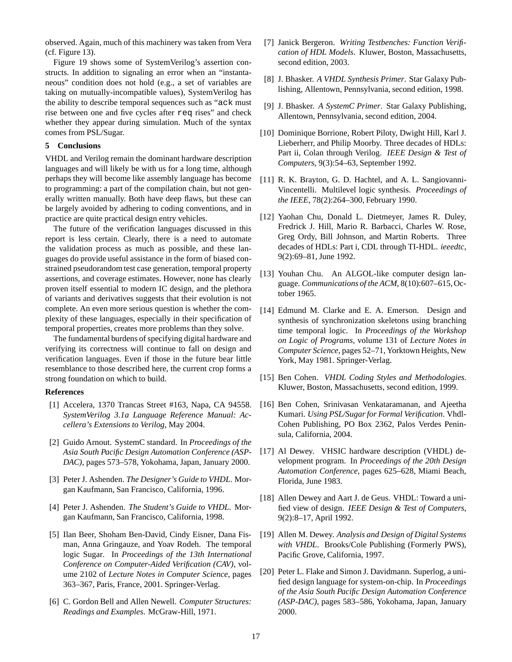observed. Again, much of this machinery was taken from Vera (cf. Figure 13).

Figure 19 shows some of SystemVerilog's assertion constructs. In addition to signaling an error when an "instantaneous" condition does not hold (e.g., a set of variables are taking on mutually-incompatible values), SystemVerilog has the ability to describe temporal sequences such as "ack must rise between one and five cycles after req rises" and check whether they appear during simulation. Much of the syntax comes from PSL/Sugar.

## **5 Conclusions**

VHDL and Verilog remain the dominant hardware description languages and will likely be with us for a long time, although perhaps they will become like assembly language has become to programming: a part of the compilation chain, but not generally written manually. Both have deep flaws, but these can be largely avoided by adhering to coding conventions, and in practice are quite practical design entry vehicles.

The future of the verification languages discussed in this report is less certain. Clearly, there is a need to automate the validation process as much as possible, and these languages do provide useful assistance in the form of biased constrained pseudorandomtest case generation, temporal property assertions, and coverage estimates. However, none has clearly proven itself essential to modern IC design, and the plethora of variants and derivatives suggests that their evolution is not complete. An even more serious question is whether the complexity of these languages, especially in their specification of temporal properties, creates more problems than they solve.

The fundamental burdens of specifying digital hardware and verifying its correctness will continue to fall on design and verification languages. Even if those in the future bear little resemblance to those described here, the current crop forms a strong foundation on which to build.

#### **References**

- [1] Accelera, 1370 Trancas Street #163, Napa, CA 94558. *SystemVerilog 3.1a Language Reference Manual: Accellera's Extensions to Verilog*, May 2004.
- [2] Guido Arnout. SystemC standard. In *Proceedings of the Asia South Pacific Design Automation Conference (ASP-DAC)*, pages 573–578, Yokohama, Japan, January 2000.
- [3] Peter J. Ashenden. *The Designer's Guide to VHDL*. Morgan Kaufmann, San Francisco, California, 1996.
- [4] Peter J. Ashenden. *The Student's Guide to VHDL*. Morgan Kaufmann, San Francisco, California, 1998.
- [5] Ilan Beer, Shoham Ben-David, Cindy Eisner, Dana Fisman, Anna Gringauze, and Yoav Rodeh. The temporal logic Sugar. In *Proceedings of the 13th International Conference on Computer-Aided Verification (CAV)*, volume 2102 of *Lecture Notes in Computer Science*, pages 363–367, Paris, France, 2001. Springer-Verlag.
- [6] C. Gordon Bell and Allen Newell. *Computer Structures: Readings and Examples*. McGraw-Hill, 1971.
- [7] Janick Bergeron. *Writing Testbenches: Function Verification of HDL Models*. Kluwer, Boston, Massachusetts, second edition, 2003.
- [8] J. Bhasker. *A VHDL Synthesis Primer*. Star Galaxy Publishing, Allentown, Pennsylvania, second edition, 1998.
- [9] J. Bhasker. *A SystemC Primer*. Star Galaxy Publishing, Allentown, Pennsylvania, second edition, 2004.
- [10] Dominique Borrione, Robert Piloty, Dwight Hill, Karl J. Lieberherr, and Philip Moorby. Three decades of HDLs: Part ii, Colan through Verilog. *IEEE Design & Test of Computers*, 9(3):54–63, September 1992.
- [11] R. K. Brayton, G. D. Hachtel, and A. L. Sangiovanni-Vincentelli. Multilevel logic synthesis. *Proceedings of the IEEE*, 78(2):264–300, February 1990.
- [12] Yaohan Chu, Donald L. Dietmeyer, James R. Duley, Fredrick J. Hill, Mario R. Barbacci, Charles W. Rose, Greg Ordy, Bill Johnson, and Martin Roberts. Three decades of HDLs: Part i, CDL through TI-HDL. *ieeedtc*, 9(2):69–81, June 1992.
- [13] Youhan Chu. An ALGOL-like computer design language. *Communications of the ACM*, 8(10):607–615,October 1965.
- [14] Edmund M. Clarke and E. A. Emerson. Design and synthesis of synchronization skeletons using branching time temporal logic. In *Proceedings of the Workshop on Logic of Programs*, volume 131 of *Lecture Notes in Computer Science*, pages 52–71, Yorktown Heights, New York, May 1981. Springer-Verlag.
- [15] Ben Cohen. *VHDL Coding Styles and Methodologies*. Kluwer, Boston, Massachusetts, second edition, 1999.
- [16] Ben Cohen, Srinivasan Venkataramanan, and Ajeetha Kumari. *Using PSL/Sugarfor Formal Verification*. Vhdl-Cohen Publishing, PO Box 2362, Palos Verdes Peninsula, California, 2004.
- [17] Al Dewey. VHSIC hardware description (VHDL) development program. In *Proceedings of the 20th Design Automation Conference*, pages 625–628, Miami Beach, Florida, June 1983.
- [18] Allen Dewey and Aart J. de Geus. VHDL: Toward a unified view of design. *IEEE Design & Test of Computers*, 9(2):8–17, April 1992.
- [19] Allen M. Dewey. *Analysis and Design of Digital Systems with VHDL*. Brooks/Cole Publishing (Formerly PWS), Pacific Grove, California, 1997.
- [20] Peter L. Flake and Simon J. Davidmann. Superlog, a unified design language for system-on-chip. In *Proceedings of the Asia South Pacific Design Automation Conference (ASP-DAC)*, pages 583–586, Yokohama, Japan, January 2000.